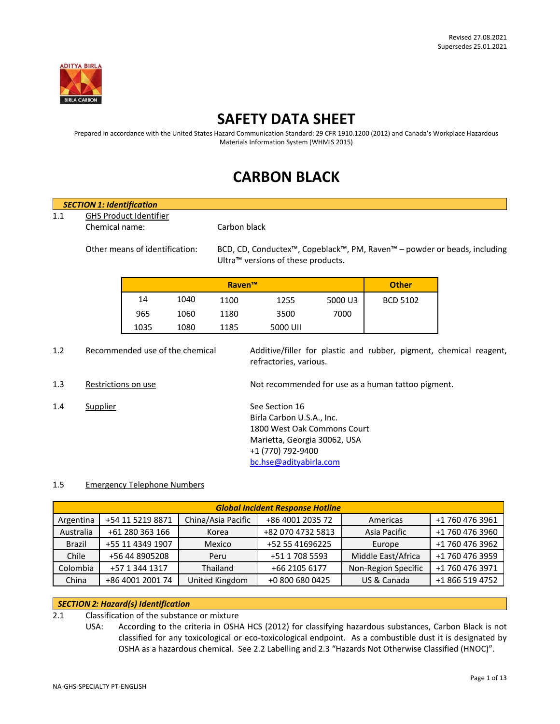

# **SAFETY DATA SHEET**

Prepared in accordance with the United States Hazard Communication Standard: 29 CFR 1910.1200 (2012) and Canada's Workplace Hazardous Materials Information System (WHMIS 2015)

# **CARBON BLACK**

|     | <b>SECTION 1: Identification</b>                |                                    |                                 |               |                                                |         |                                                                                       |  |
|-----|-------------------------------------------------|------------------------------------|---------------------------------|---------------|------------------------------------------------|---------|---------------------------------------------------------------------------------------|--|
| 1.1 |                                                 |                                    |                                 |               |                                                |         |                                                                                       |  |
|     | <b>GHS Product Identifier</b><br>Chemical name: |                                    |                                 |               | Carbon black                                   |         |                                                                                       |  |
|     | Other means of identification:                  |                                    |                                 |               | Ultra <sup>™</sup> versions of these products. |         | BCD, CD, Conductex <sup>™</sup> , Copeblack™, PM, Raven™ – powder or beads, including |  |
|     |                                                 |                                    |                                 | <b>Raven™</b> |                                                |         | <b>Other</b>                                                                          |  |
|     |                                                 | 14                                 | 1040                            | 1100          | 1255                                           | 5000 U3 | <b>BCD 5102</b>                                                                       |  |
|     |                                                 | 965                                | 1060                            | 1180          | 3500                                           | 7000    |                                                                                       |  |
|     |                                                 | 1035                               | 1080                            | 1185          | 5000 UII                                       |         |                                                                                       |  |
| 1.2 |                                                 |                                    | Recommended use of the chemical |               | refractories, various.                         |         | Additive/filler for plastic and rubber, pigment, chemical reagent,                    |  |
| 1.3 | Restrictions on use                             |                                    |                                 |               |                                                |         | Not recommended for use as a human tattoo pigment.                                    |  |
| 1.4 | Supplier                                        |                                    |                                 |               | See Section 16                                 |         |                                                                                       |  |
|     |                                                 |                                    |                                 |               | Birla Carbon U.S.A., Inc.                      |         |                                                                                       |  |
|     |                                                 |                                    |                                 |               | 1800 West Oak Commons Court                    |         |                                                                                       |  |
|     |                                                 |                                    |                                 |               | Marietta, Georgia 30062, USA                   |         |                                                                                       |  |
|     |                                                 |                                    |                                 |               | +1 (770) 792-9400                              |         |                                                                                       |  |
|     |                                                 |                                    |                                 |               | bc.hse@adityabirla.com                         |         |                                                                                       |  |
| 1.5 |                                                 | <b>Emergency Telephone Numbers</b> |                                 |               |                                                |         |                                                                                       |  |

| <b>Global Incident Response Hotline</b> |                  |                    |                   |                     |                 |
|-----------------------------------------|------------------|--------------------|-------------------|---------------------|-----------------|
| Argentina                               | +54 11 5219 8871 | China/Asia Pacific | +86 4001 2035 72  | Americas            | +1 760 476 3961 |
| Australia                               | +61 280 363 166  | Korea              | +82 070 4732 5813 | Asia Pacific        | +1 760 476 3960 |
| <b>Brazil</b>                           | +55 11 4349 1907 | Mexico             | +52 55 41696225   | Europe              | +1 760 476 3962 |
| Chile                                   | +56 44 8905208   | Peru               | +51 1 708 5593    | Middle East/Africa  | +1 760 476 3959 |
| Colombia                                | +57 1 344 1317   | Thailand           | +66 2105 6177     | Non-Region Specific | +1 760 476 3971 |
| China                                   | +86 4001 2001 74 | United Kingdom     | +0 800 680 0425   | US & Canada         | +1 866 519 4752 |

# *SECTION 2: Hazard(s) Identification*

2.1 Classification of the substance or mixture

USA: According to the criteria in OSHA HCS (2012) for classifying hazardous substances, Carbon Black is not classified for any toxicological or eco-toxicological endpoint. As a combustible dust it is designated by OSHA as a hazardous chemical. See 2.2 Labelling and 2.3 "Hazards Not Otherwise Classified (HNOC)".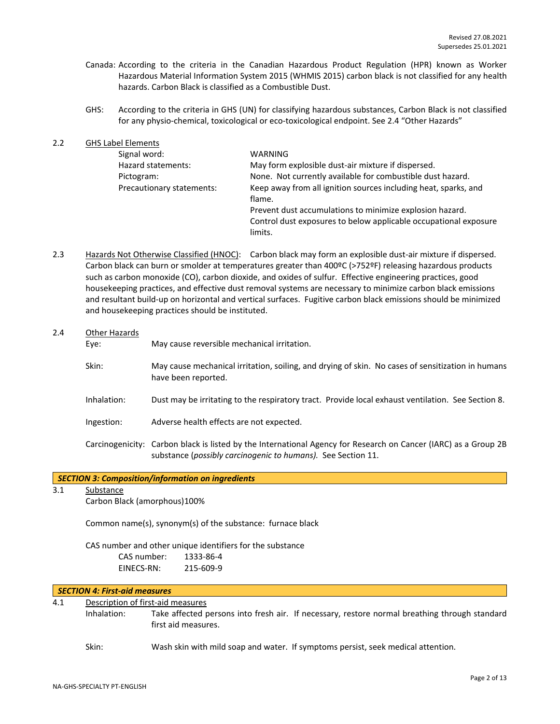- Canada: According to the criteria in the Canadian Hazardous Product Regulation (HPR) known as Worker Hazardous Material Information System 2015 (WHMIS 2015) carbon black is not classified for any health hazards. Carbon Black is classified as a Combustible Dust.
- GHS: According to the criteria in GHS (UN) for classifying hazardous substances, Carbon Black is not classified for any physio-chemical, toxicological or eco-toxicological endpoint. See 2.4 "Other Hazards"

| 2.2 | <b>GHS Label Elements</b> |                                                                  |
|-----|---------------------------|------------------------------------------------------------------|
|     | Signal word:              | WARNING                                                          |
|     | Hazard statements:        | May form explosible dust-air mixture if dispersed.               |
|     | Pictogram:                | None. Not currently available for combustible dust hazard.       |
|     | Precautionary statements: | Keep away from all ignition sources including heat, sparks, and  |
|     |                           | flame.                                                           |
|     |                           | Prevent dust accumulations to minimize explosion hazard.         |
|     |                           | Control dust exposures to below applicable occupational exposure |
|     |                           | limits.                                                          |

2.3 Hazards Not Otherwise Classified (HNOC): Carbon black may form an explosible dust-air mixture if dispersed. Carbon black can burn or smolder at temperatures greater than 400ºC (>752ºF) releasing hazardous products such as carbon monoxide (CO), carbon dioxide, and oxides of sulfur. Effective engineering practices, good housekeeping practices, and effective dust removal systems are necessary to minimize carbon black emissions and resultant build-up on horizontal and vertical surfaces. Fugitive carbon black emissions should be minimized and housekeeping practices should be instituted.

## 2.4 Other Hazards

Eye: May cause reversible mechanical irritation.

- Skin: May cause mechanical irritation, soiling, and drying of skin. No cases of sensitization in humans have been reported.
- Inhalation: Dust may be irritating to the respiratory tract. Provide local exhaust ventilation. See Section 8.
- Ingestion: Adverse health effects are not expected.
- Carcinogenicity: Carbon black is listed by the International Agency for Research on Cancer (IARC) as a Group 2B substance (*possibly carcinogenic to humans).* See Section 11.

## *SECTION 3: Composition/information on ingredients*

3.1 Substance

Carbon Black (amorphous)100%

Common name(s), synonym(s) of the substance: furnace black

CAS number and other unique identifiers for the substance CAS number: 1333-86-4 EINECS-RN: 215-609-9

## *SECTION 4: First-aid measures*

## 4.1 Description of first-aid measures

Inhalation: Take affected persons into fresh air. If necessary, restore normal breathing through standard first aid measures.

Skin: Wash skin with mild soap and water. If symptoms persist, seek medical attention.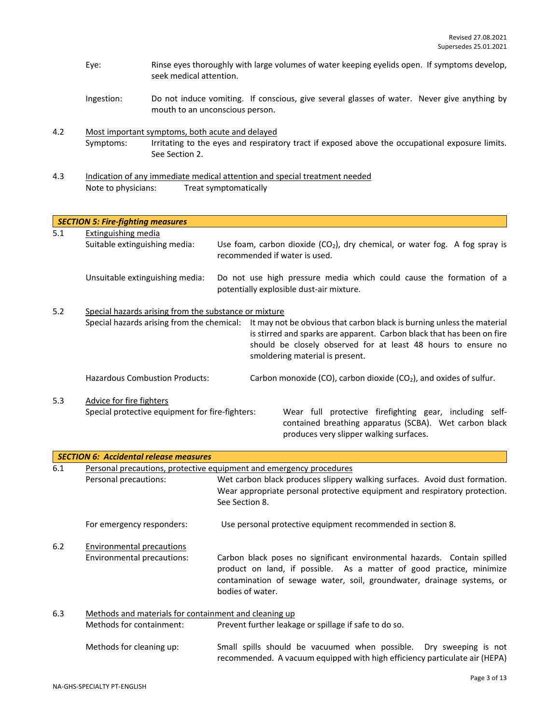- Eye: Rinse eyes thoroughly with large volumes of water keeping eyelids open. If symptoms develop, seek medical attention.
- Ingestion: Do not induce vomiting. If conscious, give several glasses of water. Never give anything by mouth to an unconscious person.
- 4.2 Most important symptoms, both acute and delayed Symptoms: Irritating to the eyes and respiratory tract if exposed above the occupational exposure limits. See Section 2.
- 4.3 Indication of any immediate medical attention and special treatment needed Note to physicians: Treat symptomatically

|     | <b>SECTION 5: Fire-fighting measures</b>              |  |                                                                                                                                                                                                                                                      |  |  |
|-----|-------------------------------------------------------|--|------------------------------------------------------------------------------------------------------------------------------------------------------------------------------------------------------------------------------------------------------|--|--|
| 5.1 | Extinguishing media<br>Suitable extinguishing media:  |  | Use foam, carbon dioxide $(CO_2)$ , dry chemical, or water fog. A fog spray is<br>recommended if water is used.                                                                                                                                      |  |  |
|     | Unsuitable extinguishing media:                       |  | Do not use high pressure media which could cause the formation of a<br>potentially explosible dust-air mixture.                                                                                                                                      |  |  |
| 5.2 | Special hazards arising from the substance or mixture |  |                                                                                                                                                                                                                                                      |  |  |
|     | Special hazards arising from the chemical:            |  | It may not be obvious that carbon black is burning unless the material<br>is stirred and sparks are apparent. Carbon black that has been on fire<br>should be closely observed for at least 48 hours to ensure no<br>smoldering material is present. |  |  |
|     | <b>Hazardous Combustion Products:</b>                 |  | Carbon monoxide (CO), carbon dioxide (CO <sub>2</sub> ), and oxides of sulfur.                                                                                                                                                                       |  |  |
| 5.3 | Advice for fire fighters                              |  |                                                                                                                                                                                                                                                      |  |  |
|     | Special protective equipment for fire-fighters:       |  | Wear full protective firefighting gear, including self-<br>contained breathing apparatus (SCBA). Wet carbon black<br>produces very slipper walking surfaces.                                                                                         |  |  |

|     | <b>SECTION 6: Accidental release measures</b>         |                                                                                                                                                                                                                                                |  |  |  |  |
|-----|-------------------------------------------------------|------------------------------------------------------------------------------------------------------------------------------------------------------------------------------------------------------------------------------------------------|--|--|--|--|
| 6.1 |                                                       | Personal precautions, protective equipment and emergency procedures                                                                                                                                                                            |  |  |  |  |
|     | Personal precautions:                                 | Wet carbon black produces slippery walking surfaces. Avoid dust formation.                                                                                                                                                                     |  |  |  |  |
|     |                                                       | Wear appropriate personal protective equipment and respiratory protection.                                                                                                                                                                     |  |  |  |  |
|     |                                                       | See Section 8.                                                                                                                                                                                                                                 |  |  |  |  |
|     | For emergency responders:                             | Use personal protective equipment recommended in section 8.                                                                                                                                                                                    |  |  |  |  |
| 6.2 | Environmental precautions                             |                                                                                                                                                                                                                                                |  |  |  |  |
|     | Environmental precautions:                            | Carbon black poses no significant environmental hazards. Contain spilled<br>product on land, if possible. As a matter of good practice, minimize<br>contamination of sewage water, soil, groundwater, drainage systems, or<br>bodies of water. |  |  |  |  |
| 6.3 | Methods and materials for containment and cleaning up |                                                                                                                                                                                                                                                |  |  |  |  |
|     | Methods for containment:                              | Prevent further leakage or spillage if safe to do so.                                                                                                                                                                                          |  |  |  |  |
|     | Methods for cleaning up:                              | Small spills should be vacuumed when possible. Dry sweeping is not<br>recommended. A vacuum equipped with high efficiency particulate air (HEPA)                                                                                               |  |  |  |  |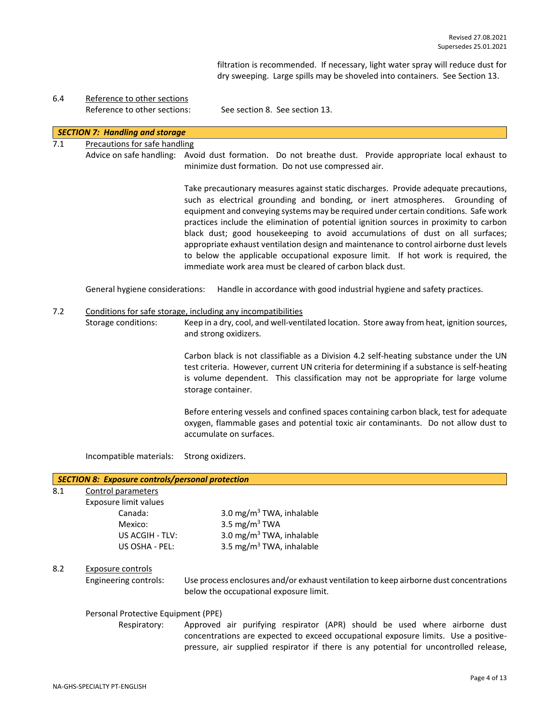filtration is recommended. If necessary, light water spray will reduce dust for dry sweeping. Large spills may be shoveled into containers. See Section 13.

6.4 Reference to other sections Reference to other sections: See section 8. See section 13.

## *SECTION 7: Handling and storage*

## 7.1 Precautions for safe handling

Advice on safe handling: Avoid dust formation. Do not breathe dust. Provide appropriate local exhaust to minimize dust formation. Do not use compressed air.

> Take precautionary measures against static discharges. Provide adequate precautions, such as electrical grounding and bonding, or inert atmospheres. Grounding of equipment and conveying systems may be required under certain conditions. Safe work practices include the elimination of potential ignition sources in proximity to carbon black dust; good housekeeping to avoid accumulations of dust on all surfaces; appropriate exhaust ventilation design and maintenance to control airborne dust levels to below the applicable occupational exposure limit. If hot work is required, the immediate work area must be cleared of carbon black dust.

General hygiene considerations: Handle in accordance with good industrial hygiene and safety practices.

## 7.2 Conditions for safe storage, including any incompatibilities

Storage conditions: Keep in a dry, cool, and well-ventilated location. Store away from heat, ignition sources, and strong oxidizers.

> Carbon black is not classifiable as a Division 4.2 self-heating substance under the UN test criteria. However, current UN criteria for determining if a substance is self-heating is volume dependent. This classification may not be appropriate for large volume storage container.

> Before entering vessels and confined spaces containing carbon black, test for adequate oxygen, flammable gases and potential toxic air contaminants. Do not allow dust to accumulate on surfaces.

Incompatible materials: Strong oxidizers.

## *SECTION 8: Exposure controls/personal protection* 8.1 Control parameters

# Exposure limit values

Canada:  $3.0 \text{ mg/m}^3$  TWA, inhalable Mexico: 3.5 mg/m<sup>3</sup> TWA US ACGIH - TLV:  $3.0 \text{ mg/m}^3$  TWA, inhalable US OSHA - PEL: 3.5 mg/m<sup>3</sup> TWA, inhalable

## 8.2 Exposure controls

Engineering controls: Use process enclosures and/or exhaust ventilation to keep airborne dust concentrations below the occupational exposure limit.

#### Personal Protective Equipment (PPE)

Respiratory: Approved air purifying respirator (APR) should be used where airborne dust concentrations are expected to exceed occupational exposure limits. Use a positivepressure, air supplied respirator if there is any potential for uncontrolled release,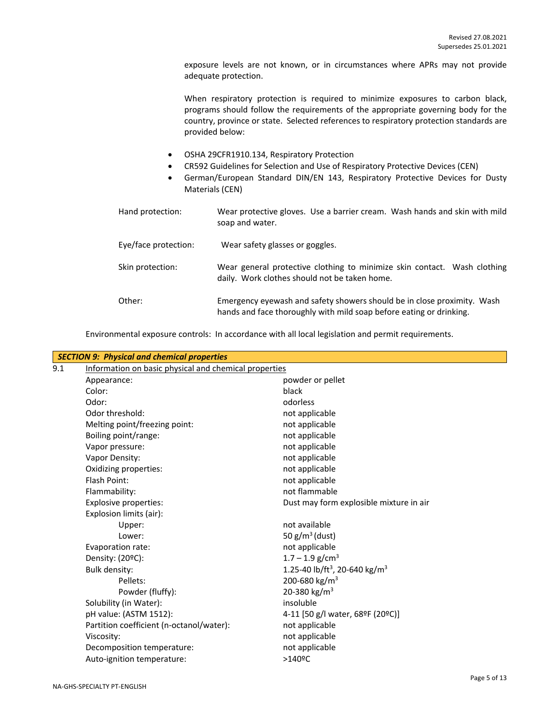exposure levels are not known, or in circumstances where APRs may not provide adequate protection.

When respiratory protection is required to minimize exposures to carbon black, programs should follow the requirements of the appropriate governing body for the country, province or state. Selected references to respiratory protection standards are provided below:

- OSHA 29CFR1910.134, Respiratory Protection
- CR592 Guidelines for Selection and Use of Respiratory Protective Devices (CEN)
- German/European Standard DIN/EN 143, Respiratory Protective Devices for Dusty Materials (CEN)

| Hand protection:     | Wear protective gloves. Use a barrier cream. Wash hands and skin with mild<br>soap and water.                                                  |
|----------------------|------------------------------------------------------------------------------------------------------------------------------------------------|
| Eye/face protection: | Wear safety glasses or goggles.                                                                                                                |
| Skin protection:     | Wear general protective clothing to minimize skin contact. Wash clothing<br>daily. Work clothes should not be taken home.                      |
| Other:               | Emergency eyewash and safety showers should be in close proximity. Wash<br>hands and face thoroughly with mild soap before eating or drinking. |

Environmental exposure controls: In accordance with all local legislation and permit requirements.

| Information on basic physical and chemical properties |
|-------------------------------------------------------|
| powder or pellet                                      |
| black                                                 |
| odorless                                              |
| not applicable                                        |
| not applicable                                        |
| not applicable                                        |
| not applicable                                        |
| not applicable                                        |
| not applicable                                        |
| not applicable                                        |
| not flammable                                         |
| Dust may form explosible mixture in air               |
|                                                       |
| not available                                         |
| 50 $g/m^3$ (dust)                                     |
| not applicable                                        |
| $1.7 - 1.9$ g/cm <sup>3</sup>                         |
| 1.25-40 lb/ft <sup>3</sup> , 20-640 kg/m <sup>3</sup> |
| 200-680 kg/m <sup>3</sup>                             |
| 20-380 kg/m <sup>3</sup>                              |
| insoluble                                             |
| 4-11 [50 g/l water, 68ºF (20ºC)]                      |
| not applicable                                        |
| not applicable                                        |
| not applicable                                        |
| $>140$ <sup>o</sup> C                                 |
|                                                       |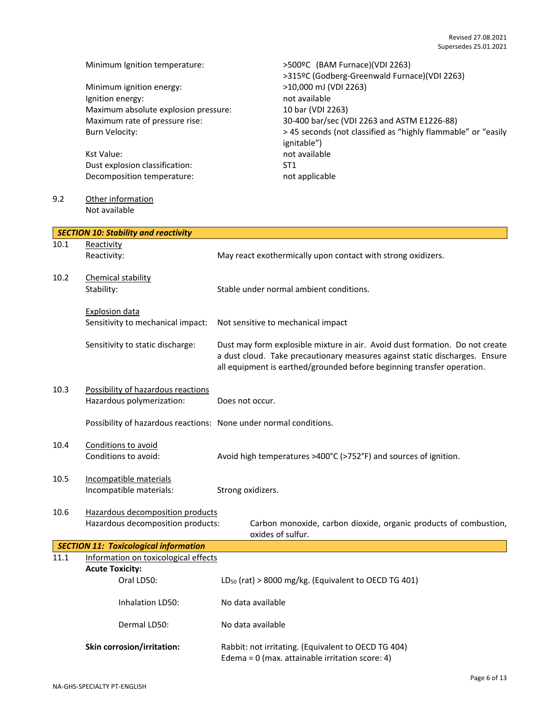|      | Minimum Ignition temperature:                                     | >500ºC (BAM Furnace)(VDI 2263)                                               |  |  |
|------|-------------------------------------------------------------------|------------------------------------------------------------------------------|--|--|
|      | Minimum ignition energy:                                          | >315ºC (Godberg-Greenwald Furnace)(VDI 2263)<br>>10,000 mJ (VDI 2263)        |  |  |
|      | Ignition energy:                                                  | not available                                                                |  |  |
|      | Maximum absolute explosion pressure:                              | 10 bar (VDI 2263)                                                            |  |  |
|      | Maximum rate of pressure rise:                                    | 30-400 bar/sec (VDI 2263 and ASTM E1226-88)                                  |  |  |
|      | <b>Burn Velocity:</b>                                             | > 45 seconds (not classified as "highly flammable" or "easily                |  |  |
|      |                                                                   | ignitable")                                                                  |  |  |
|      | Kst Value:                                                        | not available                                                                |  |  |
|      | Dust explosion classification:                                    | ST <sub>1</sub>                                                              |  |  |
|      | Decomposition temperature:                                        | not applicable                                                               |  |  |
| 9.2  | Other information                                                 |                                                                              |  |  |
|      | Not available                                                     |                                                                              |  |  |
|      | <b>SECTION 10: Stability and reactivity</b>                       |                                                                              |  |  |
| 10.1 | Reactivity                                                        |                                                                              |  |  |
|      | Reactivity:                                                       | May react exothermically upon contact with strong oxidizers.                 |  |  |
| 10.2 | Chemical stability                                                |                                                                              |  |  |
|      | Stability:                                                        | Stable under normal ambient conditions.                                      |  |  |
|      |                                                                   |                                                                              |  |  |
|      | <b>Explosion data</b>                                             |                                                                              |  |  |
|      | Sensitivity to mechanical impact:                                 | Not sensitive to mechanical impact                                           |  |  |
|      | Sensitivity to static discharge:                                  | Dust may form explosible mixture in air. Avoid dust formation. Do not create |  |  |
|      |                                                                   | a dust cloud. Take precautionary measures against static discharges. Ensure  |  |  |
|      |                                                                   | all equipment is earthed/grounded before beginning transfer operation.       |  |  |
| 10.3 | Possibility of hazardous reactions                                |                                                                              |  |  |
|      | Hazardous polymerization:                                         | Does not occur.                                                              |  |  |
|      |                                                                   |                                                                              |  |  |
|      | Possibility of hazardous reactions: None under normal conditions. |                                                                              |  |  |
| 10.4 | Conditions to avoid                                               |                                                                              |  |  |
|      | Conditions to avoid:                                              | Avoid high temperatures >400°C (>752°F) and sources of ignition.             |  |  |
|      |                                                                   |                                                                              |  |  |
| 10.5 | Incompatible materials<br>Incompatible materials:                 | Strong oxidizers.                                                            |  |  |
|      |                                                                   |                                                                              |  |  |
| 10.6 | Hazardous decomposition products                                  |                                                                              |  |  |
|      | Hazardous decomposition products:                                 | Carbon monoxide, carbon dioxide, organic products of combustion,             |  |  |
|      | <b>SECTION 11: Toxicological information</b>                      | oxides of sulfur.                                                            |  |  |
| 11.1 | Information on toxicological effects                              |                                                                              |  |  |
|      | <b>Acute Toxicity:</b>                                            |                                                                              |  |  |
|      | Oral LD50:                                                        | $LD_{50}$ (rat) > 8000 mg/kg. (Equivalent to OECD TG 401)                    |  |  |
|      | Inhalation LD50:                                                  | No data available                                                            |  |  |
|      |                                                                   |                                                                              |  |  |
|      | Dermal LD50:                                                      | No data available                                                            |  |  |
|      | Skin corrosion/irritation:                                        | Rabbit: not irritating. (Equivalent to OECD TG 404)                          |  |  |
|      |                                                                   | Edema = $0$ (max. attainable irritation score: 4)                            |  |  |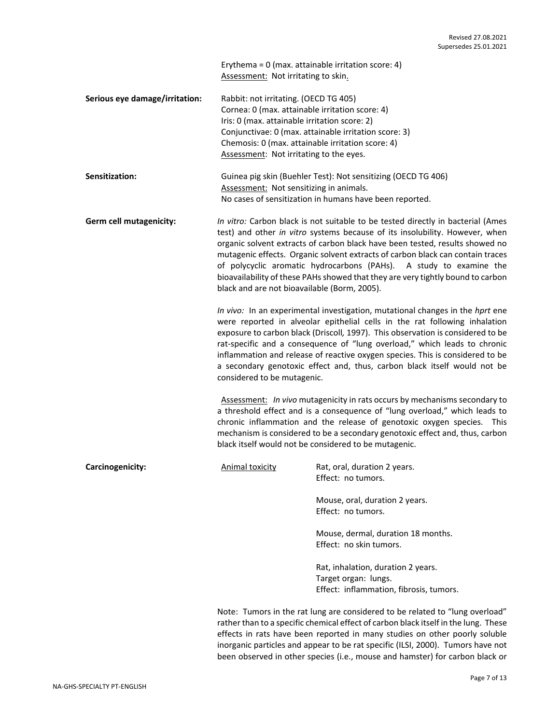Erythema = 0 (max. attainable irritation score: 4) Assessment: Not irritating to skin.

**Serious eye damage/irritation:** Rabbit: not irritating. (OECD TG 405) Cornea: 0 (max. attainable irritation score: 4) Iris: 0 (max. attainable irritation score: 2) Conjunctivae: 0 (max. attainable irritation score: 3) Chemosis: 0 (max. attainable irritation score: 4) Assessment: Not irritating to the eyes.

| <b>Sensitization:</b> | Guinea pig skin (Buehler Test): Not sensitizing (OECD TG 406) |
|-----------------------|---------------------------------------------------------------|
|                       | Assessment: Not sensitizing in animals.                       |
|                       | No cases of sensitization in humans have been reported.       |

**Germ cell mutagenicity:** *In vitro:* Carbon black is not suitable to be tested directly in bacterial (Ames test) and other *in vitro* systems because of its insolubility. However, when organic solvent extracts of carbon black have been tested, results showed no mutagenic effects. Organic solvent extracts of carbon black can contain traces of polycyclic aromatic hydrocarbons (PAHs). A study to examine the bioavailability of these PAHs showed that they are very tightly bound to carbon black and are not bioavailable (Borm, 2005).

> *In vivo:* In an experimental investigation, mutational changes in the *hprt* ene were reported in alveolar epithelial cells in the rat following inhalation exposure to carbon black (Driscoll*,* 1997). This observation is considered to be rat-specific and a consequence of "lung overload," which leads to chronic inflammation and release of reactive oxygen species. This is considered to be a secondary genotoxic effect and, thus, carbon black itself would not be considered to be mutagenic.

> Assessment: *In vivo* mutagenicity in rats occurs by mechanisms secondary to a threshold effect and is a consequence of "lung overload," which leads to chronic inflammation and the release of genotoxic oxygen species. This mechanism is considered to be a secondary genotoxic effect and, thus, carbon black itself would not be considered to be mutagenic.

| Carcinogenicity: | Animal toxicity | Rat, oral, duration 2 years.<br>Effect: no tumors.                                                    |
|------------------|-----------------|-------------------------------------------------------------------------------------------------------|
|                  |                 | Mouse, oral, duration 2 years.<br>Effect: no tumors.                                                  |
|                  |                 | Mouse, dermal, duration 18 months.<br>Effect: no skin tumors.                                         |
|                  |                 | Rat, inhalation, duration 2 years.<br>Target organ: lungs.<br>Effect: inflammation, fibrosis, tumors. |

Note: Tumors in the rat lung are considered to be related to "lung overload" rather than to a specific chemical effect of carbon black itself in the lung. These effects in rats have been reported in many studies on other poorly soluble inorganic particles and appear to be rat specific (ILSI, 2000). Tumors have not been observed in other species (i.e., mouse and hamster) for carbon black or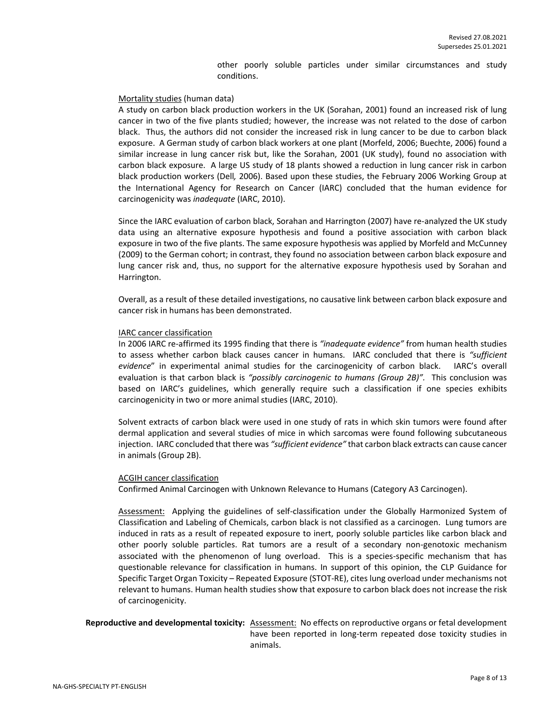other poorly soluble particles under similar circumstances and study conditions.

## Mortality studies (human data)

A study on carbon black production workers in the UK (Sorahan, 2001) found an increased risk of lung cancer in two of the five plants studied; however, the increase was not related to the dose of carbon black. Thus, the authors did not consider the increased risk in lung cancer to be due to carbon black exposure. A German study of carbon black workers at one plant (Morfeld, 2006; Buechte, 2006) found a similar increase in lung cancer risk but, like the Sorahan, 2001 (UK study), found no association with carbon black exposure. A large US study of 18 plants showed a reduction in lung cancer risk in carbon black production workers (Dell*,* 2006). Based upon these studies, the February 2006 Working Group at the International Agency for Research on Cancer (IARC) concluded that the human evidence for carcinogenicity was *inadequate* (IARC, 2010).

Since the IARC evaluation of carbon black, Sorahan and Harrington (2007) have re-analyzed the UK study data using an alternative exposure hypothesis and found a positive association with carbon black exposure in two of the five plants. The same exposure hypothesis was applied by Morfeld and McCunney (2009) to the German cohort; in contrast, they found no association between carbon black exposure and lung cancer risk and, thus, no support for the alternative exposure hypothesis used by Sorahan and Harrington.

Overall, as a result of these detailed investigations, no causative link between carbon black exposure and cancer risk in humans has been demonstrated.

#### IARC cancer classification

In 2006 IARC re-affirmed its 1995 finding that there is *"inadequate evidence"* from human health studies to assess whether carbon black causes cancer in humans. IARC concluded that there is *"sufficient evidence*" in experimental animal studies for the carcinogenicity of carbon black. IARC's overall evaluation is that carbon black is *"possibly carcinogenic to humans (Group 2B)".* This conclusion was based on IARC's guidelines, which generally require such a classification if one species exhibits carcinogenicity in two or more animal studies (IARC, 2010).

Solvent extracts of carbon black were used in one study of rats in which skin tumors were found after dermal application and several studies of mice in which sarcomas were found following subcutaneous injection. IARC concluded that there was *"sufficient evidence"* that carbon black extracts can cause cancer in animals (Group 2B).

## ACGIH cancer classification

Confirmed Animal Carcinogen with Unknown Relevance to Humans (Category A3 Carcinogen).

Assessment: Applying the guidelines of self-classification under the Globally Harmonized System of Classification and Labeling of Chemicals, carbon black is not classified as a carcinogen. Lung tumors are induced in rats as a result of repeated exposure to inert, poorly soluble particles like carbon black and other poorly soluble particles. Rat tumors are a result of a secondary non-genotoxic mechanism associated with the phenomenon of lung overload. This is a species-specific mechanism that has questionable relevance for classification in humans. In support of this opinion, the CLP Guidance for Specific Target Organ Toxicity – Repeated Exposure (STOT-RE), cites lung overload under mechanisms not relevant to humans. Human health studies show that exposure to carbon black does not increase the risk of carcinogenicity.

## **Reproductive and developmental toxicity:** Assessment: No effects on reproductive organs or fetal development have been reported in long-term repeated dose toxicity studies in animals.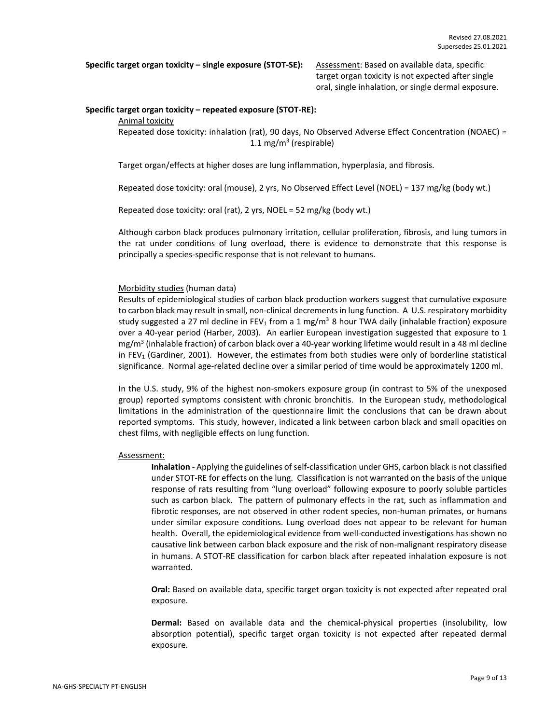**Specific target organ toxicity – single exposure (STOT-SE):** Assessment: Based on available data, specific

target organ toxicity is not expected after single oral, single inhalation, or single dermal exposure.

#### **Specific target organ toxicity – repeated exposure (STOT-RE):**

## Animal toxicity

Repeated dose toxicity: inhalation (rat), 90 days, No Observed Adverse Effect Concentration (NOAEC) = 1.1 mg/m<sup>3</sup> (respirable)

Target organ/effects at higher doses are lung inflammation, hyperplasia, and fibrosis.

Repeated dose toxicity: oral (mouse), 2 yrs, No Observed Effect Level (NOEL) = 137 mg/kg (body wt.)

Repeated dose toxicity: oral (rat), 2 yrs, NOEL = 52 mg/kg (body wt.)

Although carbon black produces pulmonary irritation, cellular proliferation, fibrosis, and lung tumors in the rat under conditions of lung overload, there is evidence to demonstrate that this response is principally a species-specific response that is not relevant to humans.

#### Morbidity studies (human data)

Results of epidemiological studies of carbon black production workers suggest that cumulative exposure to carbon black may result in small, non-clinical decrements in lung function. A U.S. respiratory morbidity study suggested a 27 ml decline in FEV<sub>1</sub> from a 1 mg/m<sup>3</sup> 8 hour TWA daily (inhalable fraction) exposure over a 40-year period (Harber, 2003). An earlier European investigation suggested that exposure to 1 mg/m<sup>3</sup> (inhalable fraction) of carbon black over a 40-year working lifetime would result in a 48 ml decline in FEV<sup>1</sup> (Gardiner, 2001). However, the estimates from both studies were only of borderline statistical significance. Normal age-related decline over a similar period of time would be approximately 1200 ml.

In the U.S. study, 9% of the highest non-smokers exposure group (in contrast to 5% of the unexposed group) reported symptoms consistent with chronic bronchitis. In the European study, methodological limitations in the administration of the questionnaire limit the conclusions that can be drawn about reported symptoms. This study, however, indicated a link between carbon black and small opacities on chest films, with negligible effects on lung function.

#### Assessment:

**Inhalation** - Applying the guidelines of self-classification under GHS, carbon black is not classified under STOT-RE for effects on the lung. Classification is not warranted on the basis of the unique response of rats resulting from "lung overload" following exposure to poorly soluble particles such as carbon black. The pattern of pulmonary effects in the rat, such as inflammation and fibrotic responses, are not observed in other rodent species, non-human primates, or humans under similar exposure conditions. Lung overload does not appear to be relevant for human health. Overall, the epidemiological evidence from well-conducted investigations has shown no causative link between carbon black exposure and the risk of non-malignant respiratory disease in humans. A STOT-RE classification for carbon black after repeated inhalation exposure is not warranted.

**Oral:** Based on available data, specific target organ toxicity is not expected after repeated oral exposure.

**Dermal:** Based on available data and the chemical-physical properties (insolubility, low absorption potential), specific target organ toxicity is not expected after repeated dermal exposure.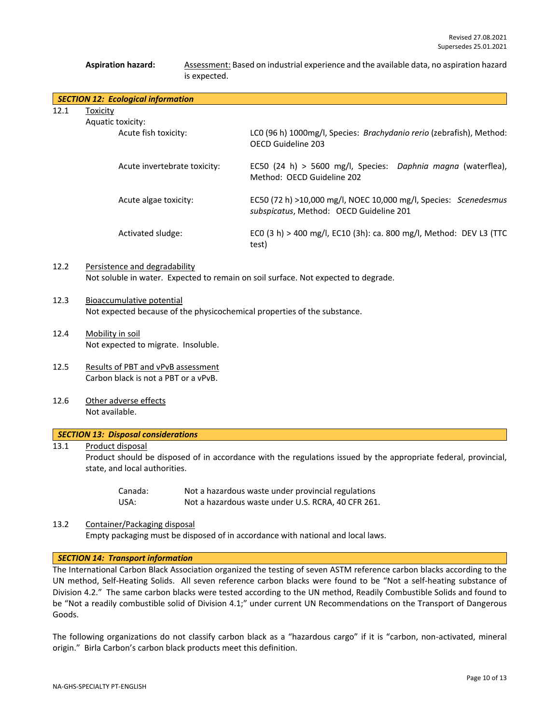## Aspiration hazard: **Assessment: Based on industrial experience and the available data, no aspiration hazard** is expected.

|      | <b>SECTION 12: Ecological information</b>                                                             |                                                                                                             |  |
|------|-------------------------------------------------------------------------------------------------------|-------------------------------------------------------------------------------------------------------------|--|
| 12.1 | <b>Toxicity</b><br>Aquatic toxicity:                                                                  |                                                                                                             |  |
|      | Acute fish toxicity:                                                                                  | LCO (96 h) 1000mg/l, Species: Brachydanio rerio (zebrafish), Method:<br>OECD Guideline 203                  |  |
|      | Acute invertebrate toxicity:                                                                          | EC50 (24 h) > 5600 mg/l, Species: Daphnia magna (waterflea),<br>Method: OECD Guideline 202                  |  |
|      | Acute algae toxicity:                                                                                 | EC50 (72 h) >10,000 mg/l, NOEC 10,000 mg/l, Species: Scenedesmus<br>subspicatus, Method: OECD Guideline 201 |  |
|      | Activated sludge:                                                                                     | ECO (3 h) > 400 mg/l, EC10 (3h): ca. 800 mg/l, Method: DEV L3 (TTC<br>test)                                 |  |
| 12.2 | Persistence and degradability                                                                         | Not soluble in water. Expected to remain on soil surface. Not expected to degrade.                          |  |
| 12.3 | Bioaccumulative potential<br>Not expected because of the physicochemical properties of the substance. |                                                                                                             |  |
| 12.4 | Mobility in soil<br>Not expected to migrate. Insoluble.                                               |                                                                                                             |  |
| 12.5 | Results of PBT and vPvB assessment<br>Carbon black is not a PBT or a vPvB.                            |                                                                                                             |  |
| 12.6 | Other adverse effects<br>Not available.                                                               |                                                                                                             |  |
|      | <b>SECTION 13: Disposal considerations</b>                                                            |                                                                                                             |  |

## 13.1 Product disposal

Product should be disposed of in accordance with the regulations issued by the appropriate federal, provincial, state, and local authorities.

| Canada: | Not a hazardous waste under provincial regulations |
|---------|----------------------------------------------------|
| USA:    | Not a hazardous waste under U.S. RCRA, 40 CFR 261. |

## 13.2 Container/Packaging disposal

Empty packaging must be disposed of in accordance with national and local laws.

## *SECTION 14: Transport information*

The International Carbon Black Association organized the testing of seven ASTM reference carbon blacks according to the UN method, Self-Heating Solids. All seven reference carbon blacks were found to be "Not a self-heating substance of Division 4.2." The same carbon blacks were tested according to the UN method, Readily Combustible Solids and found to be "Not a readily combustible solid of Division 4.1;" under current UN Recommendations on the Transport of Dangerous Goods.

The following organizations do not classify carbon black as a "hazardous cargo" if it is "carbon, non-activated, mineral origin." Birla Carbon's carbon black products meet this definition.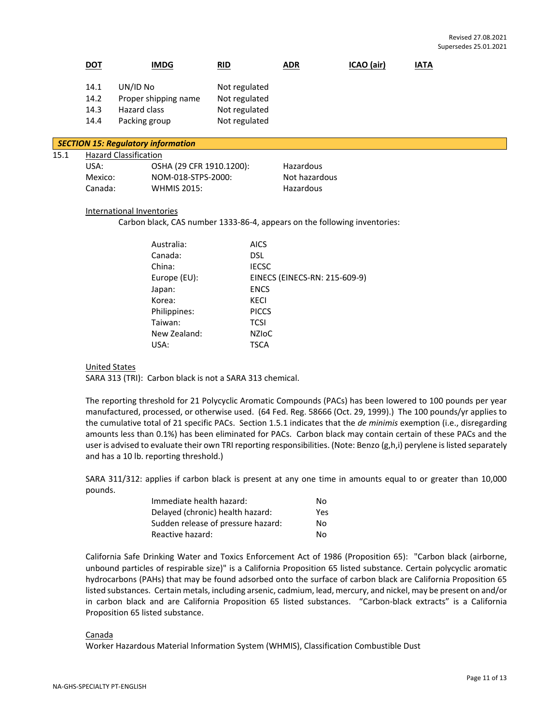|      | <b>DOT</b>                                                                                             |                                           | <b>IMDG</b>                                                                                                            | <b>RID</b>                                                                                                                            | <b>ADR</b>                              | ICAO (air) | <b>IATA</b> |  |  |  |  |
|------|--------------------------------------------------------------------------------------------------------|-------------------------------------------|------------------------------------------------------------------------------------------------------------------------|---------------------------------------------------------------------------------------------------------------------------------------|-----------------------------------------|------------|-------------|--|--|--|--|
|      | 14.1<br>14.2<br>14.3<br>14.4                                                                           | UN/ID No<br>Hazard class<br>Packing group | Proper shipping name                                                                                                   | Not regulated<br>Not regulated<br>Not regulated<br>Not regulated                                                                      |                                         |            |             |  |  |  |  |
|      | <b>SECTION 15: Regulatory information</b>                                                              |                                           |                                                                                                                        |                                                                                                                                       |                                         |            |             |  |  |  |  |
| 15.1 | <b>Hazard Classification</b><br>USA:<br>Mexico:<br>Canada:                                             |                                           | OSHA (29 CFR 1910.1200):<br>NOM-018-STPS-2000:<br><b>WHMIS 2015:</b>                                                   |                                                                                                                                       | Hazardous<br>Not hazardous<br>Hazardous |            |             |  |  |  |  |
|      | International Inventories<br>Carbon black, CAS number 1333-86-4, appears on the following inventories: |                                           |                                                                                                                        |                                                                                                                                       |                                         |            |             |  |  |  |  |
|      |                                                                                                        |                                           | Australia:<br>Canada:<br>China:<br>Europe (EU):<br>Japan:<br>Korea:<br>Philippines:<br>Taiwan:<br>New Zealand:<br>USA: | <b>AICS</b><br><b>DSL</b><br><b>IECSC</b><br><b>ENCS</b><br><b>KECI</b><br><b>PICCS</b><br><b>TCSI</b><br><b>NZIOC</b><br><b>TSCA</b> | EINECS (EINECS-RN: 215-609-9)           |            |             |  |  |  |  |
|      | <b>United States</b>                                                                                   |                                           |                                                                                                                        |                                                                                                                                       |                                         |            |             |  |  |  |  |

SARA 313 (TRI): Carbon black is not a SARA 313 chemical.

The reporting threshold for 21 Polycyclic Aromatic Compounds (PACs) has been lowered to 100 pounds per year manufactured, processed, or otherwise used. (64 Fed. Reg. 58666 (Oct. 29, 1999).) The 100 pounds/yr applies to the cumulative total of 21 specific PACs. Section 1.5.1 indicates that the *de minimis* exemption (i.e., disregarding amounts less than 0.1%) has been eliminated for PACs. Carbon black may contain certain of these PACs and the user is advised to evaluate their own TRI reporting responsibilities. (Note: Benzo (g,h,i) perylene is listed separately and has a 10 lb. reporting threshold.)

SARA 311/312: applies if carbon black is present at any one time in amounts equal to or greater than 10,000 pounds.

| Immediate health hazard:           | No. |
|------------------------------------|-----|
| Delayed (chronic) health hazard:   | Yes |
| Sudden release of pressure hazard: | No. |
| Reactive hazard:                   | No. |

California Safe Drinking Water and Toxics Enforcement Act of 1986 (Proposition 65): "Carbon black (airborne, unbound particles of respirable size)" is a California Proposition 65 listed substance. Certain polycyclic aromatic hydrocarbons (PAHs) that may be found adsorbed onto the surface of carbon black are California Proposition 65 listed substances. Certain metals, including arsenic, cadmium, lead, mercury, and nickel, may be present on and/or in carbon black and are California Proposition 65 listed substances. "Carbon-black extracts" is a California Proposition 65 listed substance.

## Canada

Worker Hazardous Material Information System (WHMIS), Classification Combustible Dust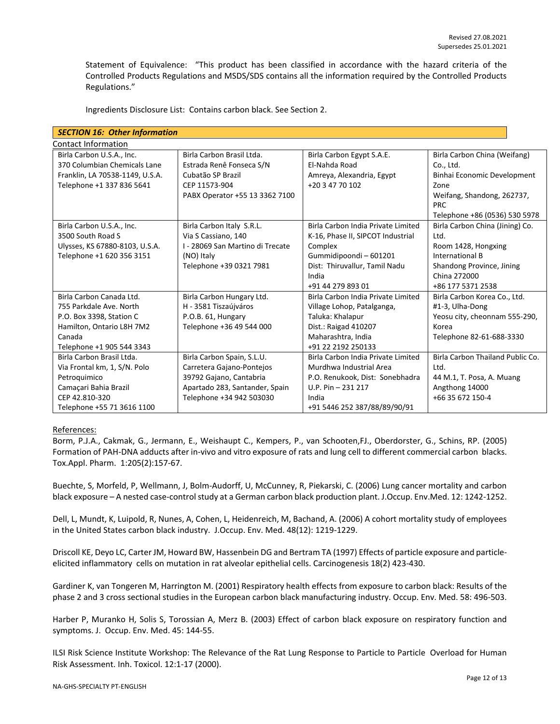Statement of Equivalence: "This product has been classified in accordance with the hazard criteria of the Controlled Products Regulations and MSDS/SDS contains all the information required by the Controlled Products Regulations."

| <b>SECTION 16: Other Information</b> |                                  |                                    |                                  |  |  |  |  |
|--------------------------------------|----------------------------------|------------------------------------|----------------------------------|--|--|--|--|
| <b>Contact Information</b>           |                                  |                                    |                                  |  |  |  |  |
| Birla Carbon U.S.A., Inc.            | Birla Carbon Brasil Ltda.        | Birla Carbon Egypt S.A.E.          | Birla Carbon China (Weifang)     |  |  |  |  |
| 370 Columbian Chemicals Lane         | Estrada Renê Fonseca S/N         | El-Nahda Road                      | Co., Ltd.                        |  |  |  |  |
| Franklin, LA 70538-1149, U.S.A.      | Cubatão SP Brazil                | Amreya, Alexandria, Egypt          | Binhai Economic Development      |  |  |  |  |
| Telephone +1 337 836 5641            | CEP 11573-904                    | +20 3 47 70 102                    | Zone                             |  |  |  |  |
|                                      | PABX Operator +55 13 3362 7100   |                                    | Weifang, Shandong, 262737,       |  |  |  |  |
|                                      |                                  |                                    | <b>PRC</b>                       |  |  |  |  |
|                                      |                                  |                                    | Telephone +86 (0536) 530 5978    |  |  |  |  |
| Birla Carbon U.S.A., Inc.            | Birla Carbon Italy S.R.L.        | Birla Carbon India Private Limited | Birla Carbon China (Jining) Co.  |  |  |  |  |
| 3500 South Road S                    | Via S Cassiano, 140              | K-16, Phase II, SIPCOT Industrial  | Ltd.                             |  |  |  |  |
| Ulysses, KS 67880-8103, U.S.A.       | I - 28069 San Martino di Trecate | Complex                            | Room 1428, Hongxing              |  |  |  |  |
| Telephone +1 620 356 3151            | (NO) Italy                       | Gummidipoondi - 601201             | International B                  |  |  |  |  |
|                                      | Telephone +39 0321 7981          | Dist: Thiruvallur, Tamil Nadu      | Shandong Province, Jining        |  |  |  |  |
|                                      |                                  | India                              | China 272000                     |  |  |  |  |
|                                      |                                  | +91 44 279 893 01                  | +86 177 5371 2538                |  |  |  |  |
| Birla Carbon Canada Ltd.             | Birla Carbon Hungary Ltd.        | Birla Carbon India Private Limited | Birla Carbon Korea Co., Ltd.     |  |  |  |  |
| 755 Parkdale Ave, North              | H - 3581 Tiszaújváros            | Village Lohop, Patalganga,         | #1-3, Ulha-Dong                  |  |  |  |  |
| P.O. Box 3398, Station C             | P.O.B. 61, Hungary               | Taluka: Khalapur                   | Yeosu city, cheonnam 555-290,    |  |  |  |  |
| Hamilton, Ontario L8H 7M2            | Telephone +36 49 544 000         | Dist.: Raigad 410207               | Korea                            |  |  |  |  |
| Canada                               |                                  | Maharashtra, India                 | Telephone 82-61-688-3330         |  |  |  |  |
| Telephone +1 905 544 3343            |                                  | +91 22 2192 250133                 |                                  |  |  |  |  |
| Birla Carbon Brasil Ltda.            | Birla Carbon Spain, S.L.U.       | Birla Carbon India Private Limited | Birla Carbon Thailand Public Co. |  |  |  |  |
| Via Frontal km, 1, S/N. Polo         | Carretera Gajano-Pontejos        | Murdhwa Industrial Area            | Ltd.                             |  |  |  |  |
| Petroquimico                         | 39792 Gajano, Cantabria          | P.O. Renukook, Dist: Sonebhadra    | 44 M.1, T. Posa, A. Muang        |  |  |  |  |
| Camaçari Bahia Brazil                | Apartado 283, Santander, Spain   | $U.P. Pin - 231 217$               | Angthong 14000                   |  |  |  |  |
| CEP 42.810-320                       | Telephone +34 942 503030         | India                              | +66 35 672 150-4                 |  |  |  |  |
| Telephone +55 71 3616 1100           |                                  | +91 5446 252 387/88/89/90/91       |                                  |  |  |  |  |

Ingredients Disclosure List: Contains carbon black. See Section 2.

## References:

Borm, P.J.A., Cakmak, G., Jermann, E., Weishaupt C., Kempers, P., van Schooten,FJ., Oberdorster, G., Schins, RP. (2005) Formation of PAH-DNA adducts after in-vivo and vitro exposure of rats and lung cell to different commercial carbon blacks. Tox.Appl. Pharm. 1:205(2):157-67.

Buechte, S, Morfeld, P, Wellmann, J, Bolm-Audorff, U, McCunney, R, Piekarski, C. (2006) Lung cancer mortality and carbon black exposure – A nested case-control study at a German carbon black production plant. J.Occup. Env.Med. 12: 1242-1252.

Dell, L, Mundt, K, Luipold, R, Nunes, A, Cohen, L, Heidenreich, M, Bachand, A. (2006) A cohort mortality study of employees in the United States carbon black industry. J.Occup. Env. Med. 48(12): 1219-1229.

Driscoll KE, Deyo LC, Carter JM, Howard BW, Hassenbein DG and Bertram TA (1997) Effects of particle exposure and particleelicited inflammatory cells on mutation in rat alveolar epithelial cells. Carcinogenesis 18(2) 423-430.

Gardiner K, van Tongeren M, Harrington M. (2001) Respiratory health effects from exposure to carbon black: Results of the phase 2 and 3 cross sectional studies in the European carbon black manufacturing industry. Occup. Env. Med. 58: 496-503.

Harber P, Muranko H, Solis S, Torossian A, Merz B. (2003) Effect of carbon black exposure on respiratory function and symptoms. J. Occup. Env. Med. 45: 144-55.

ILSI Risk Science Institute Workshop: The Relevance of the Rat Lung Response to Particle to Particle Overload for Human Risk Assessment. Inh. Toxicol. 12:1-17 (2000).